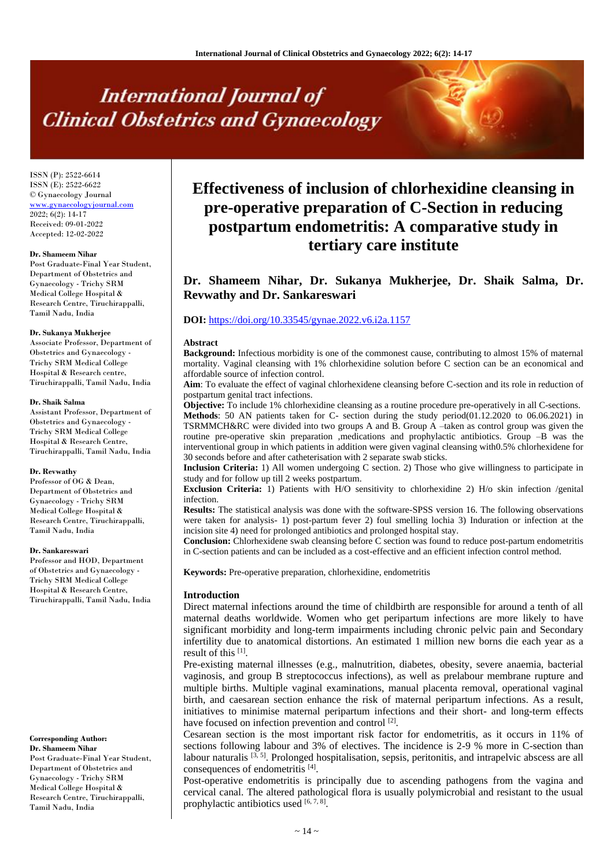# **International Journal of Clinical Obstetrics and Gynaecology**

ISSN (P): 2522-6614 ISSN (E): 2522-6622 © Gynaecology Journal <www.gynaecologyjournal.com>  $2022; 6(2): 14-17$ Received: 09-01-2022 Accepted: 12-02-2022

#### **Dr. Shameem Nihar**

Post Graduate-Final Year Student, Department of Obstetrics and Gynaecology - Trichy SRM Medical College Hospital & Research Centre, Tiruchirappalli, Tamil Nadu, India

#### **Dr. Sukanya Mukherjee**

Associate Professor, Department of Obstetrics and Gynaecology - Trichy SRM Medical College Hospital & Research centre, Tiruchirappalli, Tamil Nadu, India

#### **Dr. Shaik Salma**

Assistant Professor, Department of Obstetrics and Gynaecology - Trichy SRM Medical College Hospital & Research Centre, Tiruchirappalli, Tamil Nadu, India

#### **Dr. Revwathy**

Professor of OG & Dean, Department of Obstetrics and Gynaecology - Trichy SRM Medical College Hospital & Research Centre, Tiruchirappalli, Tamil Nadu, India

#### **Dr. Sankareswari**

Professor and HOD, Department of Obstetrics and Gynaecology - Trichy SRM Medical College Hospital & Research Centre, Tiruchirappalli, Tamil Nadu, India

#### **Corresponding Author:**

**Dr. Shameem Nihar** Post Graduate-Final Year Student, Department of Obstetrics and Gynaecology - Trichy SRM Medical College Hospital & Research Centre, Tiruchirappalli, Tamil Nadu, India

# **Effectiveness of inclusion of chlorhexidine cleansing in pre-operative preparation of C-Section in reducing postpartum endometritis: A comparative study in tertiary care institute**

# **Dr. Shameem Nihar, Dr. Sukanya Mukherjee, Dr. Shaik Salma, Dr. Revwathy and Dr. Sankareswari**

# **DOI:** <https://doi.org/10.33545/gynae.2022.v6.i2a.1157>

#### **Abstract**

**Background:** Infectious morbidity is one of the commonest cause, contributing to almost 15% of maternal mortality. Vaginal cleansing with 1% chlorhexidine solution before C section can be an economical and affordable source of infection control.

**Aim**: To evaluate the effect of vaginal chlorhexidene cleansing before C-section and its role in reduction of postpartum genital tract infections.

**Objective:** To include 1% chlorhexidine cleansing as a routine procedure pre-operatively in all C-sections. **Methods**: 50 AN patients taken for C- section during the study period(01.12.2020 to 06.06.2021) in TSRMMCH&RC were divided into two groups A and B. Group A –taken as control group was given the routine pre-operative skin preparation ,medications and prophylactic antibiotics. Group –B was the interventional group in which patients in addition were given vaginal cleansing with0.5% chlorhexidene for 30 seconds before and after catheterisation with 2 separate swab sticks.

**Inclusion Criteria:** 1) All women undergoing C section. 2) Those who give willingness to participate in study and for follow up till 2 weeks postpartum.

**Exclusion Criteria:** 1) Patients with H/O sensitivity to chlorhexidine 2) H/o skin infection /genital infection.

**Results:** The statistical analysis was done with the software-SPSS version 16. The following observations were taken for analysis- 1) post-partum fever 2) foul smelling lochia 3) Induration or infection at the incision site 4) need for prolonged antibiotics and prolonged hospital stay.

**Conclusion:** Chlorhexidene swab cleansing before C section was found to reduce post-partum endometritis in C-section patients and can be included as a cost-effective and an efficient infection control method.

**Keywords:** Pre-operative preparation, chlorhexidine, endometritis

#### **Introduction**

Direct maternal infections around the time of childbirth are responsible for around a tenth of all maternal deaths worldwide. Women who get peripartum infections are more likely to have significant morbidity and long-term impairments including chronic pelvic pain and Secondary infertility due to anatomical distortions. An estimated 1 million new borns die each year as a result of this [1].

Pre-existing maternal illnesses (e.g., malnutrition, diabetes, obesity, severe anaemia, bacterial vaginosis, and group B streptococcus infections), as well as prelabour membrane rupture and multiple births. Multiple vaginal examinations, manual placenta removal, operational vaginal birth, and caesarean section enhance the risk of maternal peripartum infections. As a result, initiatives to minimise maternal peripartum infections and their short- and long-term effects have focused on infection prevention and control<sup>[2]</sup>.

Cesarean section is the most important risk factor for endometritis, as it occurs in 11% of sections following labour and 3% of electives. The incidence is 2-9 % more in C-section than labour naturalis <sup>[3, 5]</sup>. Prolonged hospitalisation, sepsis, peritonitis, and intrapelvic abscess are all consequences of endometritis [4].

Post-operative endometritis is principally due to ascending pathogens from the vagina and cervical canal. The altered pathological flora is usually polymicrobial and resistant to the usual prophylactic antibiotics used  $[6, 7, 8]$ .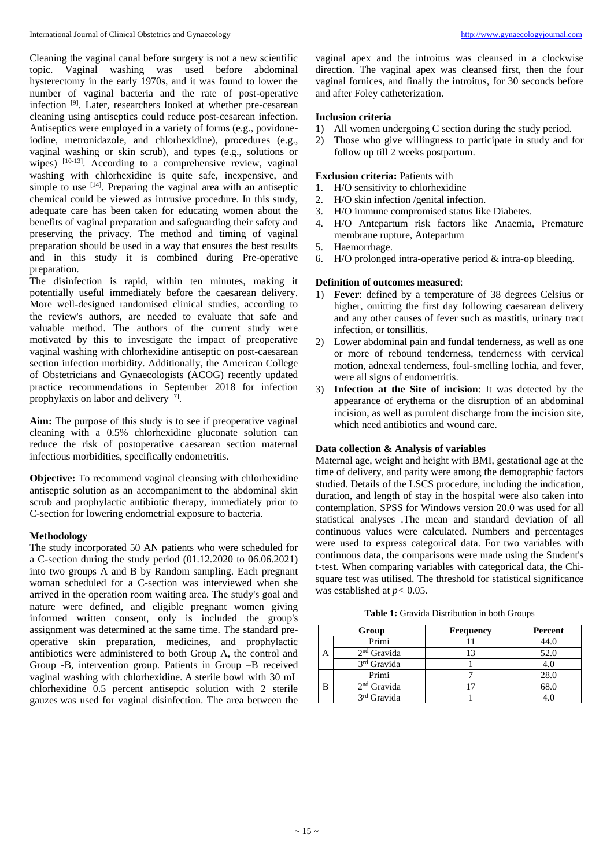Cleaning the vaginal canal before surgery is not a new scientific topic. Vaginal washing was used before abdominal hysterectomy in the early 1970s, and it was found to lower the number of vaginal bacteria and the rate of post-operative infection<sup>[9]</sup>. Later, researchers looked at whether pre-cesarean cleaning using antiseptics could reduce post-cesarean infection. Antiseptics were employed in a variety of forms (e.g., povidoneiodine, metronidazole, and chlorhexidine), procedures (e.g., vaginal washing or skin scrub), and types (e.g., solutions or wipes) <sup>[10-13]</sup>. According to a comprehensive review, vaginal washing with chlorhexidine is quite safe, inexpensive, and simple to use  $[14]$ . Preparing the vaginal area with an antiseptic chemical could be viewed as intrusive procedure. In this study, adequate care has been taken for educating women about the benefits of vaginal preparation and safeguarding their safety and preserving the privacy. The method and timing of vaginal preparation should be used in a way that ensures the best results and in this study it is combined during Pre-operative preparation.

The disinfection is rapid, within ten minutes, making it potentially useful immediately before the caesarean delivery. More well-designed randomised clinical studies, according to the review's authors, are needed to evaluate that safe and valuable method. The authors of the current study were motivated by this to investigate the impact of preoperative vaginal washing with chlorhexidine antiseptic on post-caesarean section infection morbidity. Additionally, the American College of Obstetricians and Gynaecologists (ACOG) recently updated practice recommendations in September 2018 for infection prophylaxis on labor and delivery [7].

**Aim:** The purpose of this study is to see if preoperative vaginal cleaning with a 0.5% chlorhexidine gluconate solution can reduce the risk of postoperative caesarean section maternal infectious morbidities, specifically endometritis.

**Objective:** To recommend vaginal cleansing with chlorhexidine antiseptic solution as an accompaniment to the abdominal skin scrub and prophylactic antibiotic therapy, immediately prior to C-section for lowering endometrial exposure to bacteria.

# **Methodology**

The study incorporated 50 AN patients who were scheduled for a C-section during the study period (01.12.2020 to 06.06.2021) into two groups A and B by Random sampling. Each pregnant woman scheduled for a C-section was interviewed when she arrived in the operation room waiting area. The study's goal and nature were defined, and eligible pregnant women giving informed written consent, only is included the group's assignment was determined at the same time. The standard preoperative skin preparation, medicines, and prophylactic antibiotics were administered to both Group A, the control and Group -B, intervention group. Patients in Group –B received vaginal washing with chlorhexidine. A sterile bowl with 30 mL chlorhexidine 0.5 percent antiseptic solution with 2 sterile gauzes was used for vaginal disinfection. The area between the

vaginal apex and the introitus was cleansed in a clockwise direction. The vaginal apex was cleansed first, then the four vaginal fornices, and finally the introitus, for 30 seconds before and after Foley catheterization.

# **Inclusion criteria**

- 1) All women undergoing C section during the study period.
- 2) Those who give willingness to participate in study and for follow up till 2 weeks postpartum.

## **Exclusion criteria:** Patients with

- 1. H/O sensitivity to chlorhexidine
- 2. H/O skin infection /genital infection.
- 3. H/O immune compromised status like Diabetes.
- 4. H/O Antepartum risk factors like Anaemia, Premature membrane rupture, Antepartum
- 5. Haemorrhage.
- 6. H/O prolonged intra-operative period & intra-op bleeding.

#### **Definition of outcomes measured**:

- 1) **Fever**: defined by a temperature of 38 degrees Celsius or higher, omitting the first day following caesarean delivery and any other causes of fever such as mastitis, urinary tract infection, or tonsillitis.
- 2) Lower abdominal pain and fundal tenderness, as well as one or more of rebound tenderness, tenderness with cervical motion, adnexal tenderness, foul-smelling lochia, and fever, were all signs of endometritis.
- 3) **Infection at the Site of incision**: It was detected by the appearance of erythema or the disruption of an abdominal incision, as well as purulent discharge from the incision site, which need antibiotics and wound care.

# **Data collection & Analysis of variables**

Maternal age, weight and height with BMI, gestational age at the time of delivery, and parity were among the demographic factors studied. Details of the LSCS procedure, including the indication, duration, and length of stay in the hospital were also taken into contemplation. SPSS for Windows version 20.0 was used for all statistical analyses .The mean and standard deviation of all continuous values were calculated. Numbers and percentages were used to express categorical data. For two variables with continuous data, the comparisons were made using the Student's t-test. When comparing variables with categorical data, the Chisquare test was utilised. The threshold for statistical significance was established at *p<* 0.05.

|   | Group                   | <b>Frequency</b> | Percent |
|---|-------------------------|------------------|---------|
| А | Primi                   |                  | 44.0    |
|   | $2nd$ Gravida           |                  | 52.0    |
|   | 3 <sup>rd</sup> Gravida |                  |         |
| B | Primi                   |                  | 28.0    |
|   | $2nd$ Gravida           |                  | 68.0    |
|   | 3 <sup>rd</sup> Gravida |                  |         |

**Table 1:** Gravida Distribution in both Groups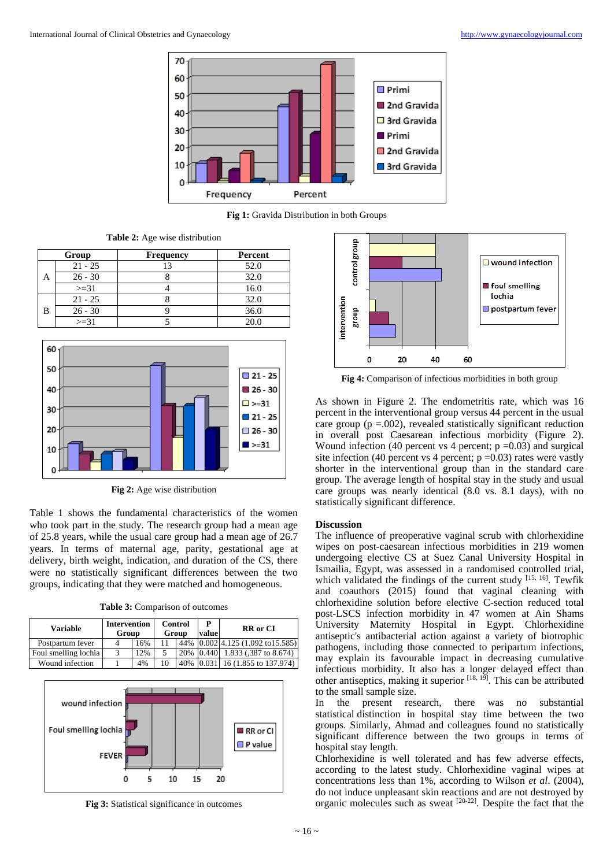

**Fig 1:** Gravida Distribution in both Groups

**Table 2:** Age wise distribution

|   | Group     | <b>Frequency</b> | Percent |
|---|-----------|------------------|---------|
| A | $21 - 25$ |                  | 52.0    |
|   | $26 - 30$ |                  | 32.0    |
|   | $>=31$    |                  | 16.0    |
| В | $21 - 25$ |                  | 32.0    |
|   | $26 - 30$ |                  | 36.0    |
|   | $>=31$    |                  | 20.C    |



**Fig 2:** Age wise distribution

Table 1 shows the fundamental characteristics of the women who took part in the study. The research group had a mean age of 25.8 years, while the usual care group had a mean age of 26.7 years. In terms of maternal age, parity, gestational age at delivery, birth weight, indication, and duration of the CS, there were no statistically significant differences between the two groups, indicating that they were matched and homogeneous.

|  |  | <b>Table 3:</b> Comparison of outcomes |
|--|--|----------------------------------------|
|  |  |                                        |

| <b>Variable</b>      | <b>Intervention</b><br>Group |     | Control<br>Group |     | value | <b>RR</b> or CI                   |
|----------------------|------------------------------|-----|------------------|-----|-------|-----------------------------------|
| Postpartum fever     |                              | 16% |                  | 44% |       | $[0.002]$ 4.125 (1.092 to 15.585) |
| Foul smelling lochia |                              | 2%  |                  | 20% | 0.440 | 1.833 (387 to 8.674)              |
| Wound infection      |                              | 4%  |                  | 40% |       | 16 (1.855 to 137.974)             |



**Fig 3:** Statistical significance in outcomes



**Fig 4:** Comparison of infectious morbidities in both group

As shown in Figure 2. The endometritis rate, which was 16 percent in the interventional group versus 44 percent in the usual care group ( $p = .002$ ), revealed statistically significant reduction in overall post Caesarean infectious morbidity (Figure 2). Wound infection (40 percent vs 4 percent;  $p = 0.03$ ) and surgical site infection (40 percent vs 4 percent;  $p = 0.03$ ) rates were vastly shorter in the interventional group than in the standard care group. The average length of hospital stay in the study and usual care groups was nearly identical (8.0 vs. 8.1 days), with no statistically significant difference.

#### **Discussion**

The influence of preoperative vaginal scrub with chlorhexidine wipes on post-caesarean infectious morbidities in 219 women undergoing elective CS at Suez Canal University Hospital in Ismailia, Egypt, was assessed in a randomised controlled trial, which validated the findings of the current study [15, 16]. Tewfik and coauthors (2015) found that vaginal cleaning with chlorhexidine solution before elective C-section reduced total post-LSCS infection morbidity in 47 women at Ain Shams University Maternity Hospital in Egypt. Chlorhexidine antiseptic's antibacterial action against a variety of biotrophic pathogens, including those connected to peripartum infections, may explain its favourable impact in decreasing cumulative infectious morbidity. It also has a longer delayed effect than other antiseptics, making it superior  $[18, 15]$ . This can be attributed to the small sample size.

In the present research, there was no substantial statistical distinction in hospital stay time between the two groups. Similarly, Ahmad and colleagues found no statistically significant difference between the two groups in terms of hospital stay length.

Chlorhexidine is well tolerated and has few adverse effects, according to the latest study. Chlorhexidine vaginal wipes at concentrations less than 1%, according to Wilson *et al*. (2004), do not induce unpleasant skin reactions and are not destroyed by organic molecules such as sweat [20-22] . Despite the fact that the